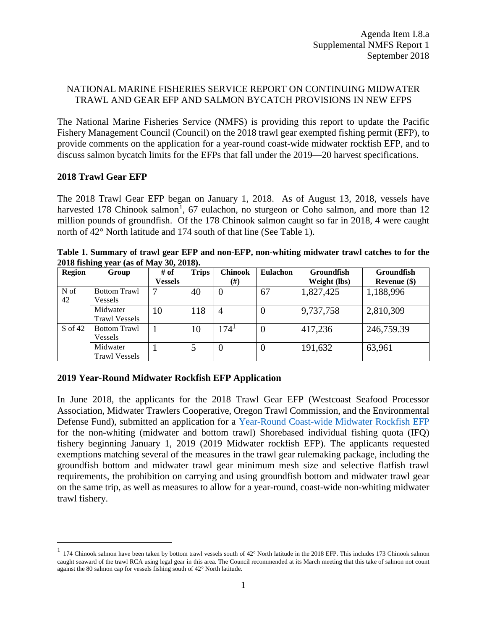# NATIONAL MARINE FISHERIES SERVICE REPORT ON CONTINUING MIDWATER TRAWL AND GEAR EFP AND SALMON BYCATCH PROVISIONS IN NEW EFPS

The National Marine Fisheries Service (NMFS) is providing this report to update the Pacific Fishery Management Council (Council) on the 2018 trawl gear exempted fishing permit (EFP), to provide comments on the application for a year-round coast-wide midwater rockfish EFP, and to discuss salmon bycatch limits for the EFPs that fall under the 2019—20 harvest specifications.

## **2018 Trawl Gear EFP**

The 2018 Trawl Gear EFP began on January 1, 2018. As of August 13, 2018, vessels have harvested [1](#page-0-0)78 Chinook salmon<sup>1</sup>, 67 eulachon, no sturgeon or Coho salmon, and more than 12 million pounds of groundfish. Of the 178 Chinook salmon caught so far in 2018, 4 were caught north of 42° North latitude and 174 south of that line (See Table 1).

**Table 1. Summary of trawl gear EFP and non-EFP, non-whiting midwater trawl catches to for the 2018 fishing year (as of May 30, 2018).** 

| <b>Region</b> | Group                            | # of           | <b>Trips</b> | <b>Chinook</b> | <b>Eulachon</b> | <b>Groundfish</b> | Groundfish     |
|---------------|----------------------------------|----------------|--------------|----------------|-----------------|-------------------|----------------|
|               |                                  | <b>Vessels</b> |              | (#)            |                 | Weight (lbs)      | Revenue $(\$)$ |
| N of<br>42    | <b>Bottom Trawl</b><br>Vessels   |                | 40           |                | 67              | 1,827,425         | 1,188,996      |
|               | Midwater<br><b>Trawl Vessels</b> | 10             | 118          |                |                 | 9,737,758         | 2,810,309      |
| S of 42       | <b>Bottom Trawl</b><br>Vessels   |                | 10           | $174^1$        |                 | 417,236           | 246,759.39     |
|               | Midwater<br><b>Trawl Vessels</b> |                |              |                |                 | 191,632           | 63,961         |

## **2019 Year-Round Midwater Rockfish EFP Application**

In June 2018, the applicants for the 2018 Trawl Gear EFP (Westcoast Seafood Processor Association, Midwater Trawlers Cooperative, Oregon Trawl Commission, and the Environmental Defense Fund), submitted an application for a [Year-Round Coast-wide Midwater Rockfish EFP](https://www.pcouncil.org/wp-content/uploads/2018/05/E2_Att5_MWT_Draft.5.11.2018_Jun2018BB.pdf) for the non-whiting (midwater and bottom trawl) Shorebased individual fishing quota (IFQ) fishery beginning January 1, 2019 (2019 Midwater rockfish EFP). The applicants requested exemptions matching several of the measures in the trawl gear rulemaking package, including the groundfish bottom and midwater trawl gear minimum mesh size and selective flatfish trawl requirements, the prohibition on carrying and using groundfish bottom and midwater trawl gear on the same trip, as well as measures to allow for a year-round, coast-wide non-whiting midwater trawl fishery.

<span id="page-0-0"></span><sup>&</sup>lt;sup>1</sup> 174 Chinook salmon have been taken by bottom trawl vessels south of  $42^{\circ}$  North latitude in the 2018 EFP. This includes 173 Chinook salmon caught seaward of the trawl RCA using legal gear in this area. The Council recommended at its March meeting that this take of salmon not count against the 80 salmon cap for vessels fishing south of 42° North latitude.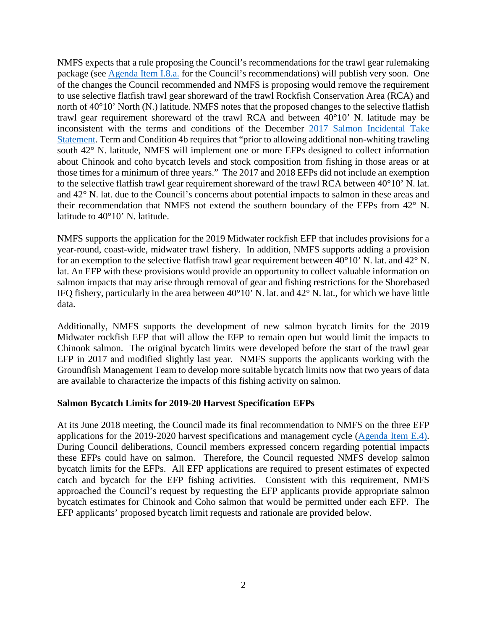NMFS expects that a rule proposing the Council's recommendations for the trawl gear rulemaking package (see [Agenda Item I.8.a.](https://www.pcouncil.org/wp-content/uploads/2018/08/I8_Att1_Thom_re_Gear_Rule_deeming_Ltr_SEPT2018BB.pdf) for the Council's recommendations) will publish very soon. One of the changes the Council recommended and NMFS is proposing would remove the requirement to use selective flatfish trawl gear shoreward of the trawl Rockfish Conservation Area (RCA) and north of 40°10' North (N.) latitude. NMFS notes that the proposed changes to the selective flatfish trawl gear requirement shoreward of the trawl RCA and between 40°10' N. latitude may be inconsistent with the terms and conditions of the December [2017 Salmon Incidental Take](http://www.westcoast.fisheries.noaa.gov/publications/fishery_management/groundfish/s7-groundfish-biop-121117.pdf)  [Statement.](http://www.westcoast.fisheries.noaa.gov/publications/fishery_management/groundfish/s7-groundfish-biop-121117.pdf) Term and Condition 4b requires that "prior to allowing additional non-whiting trawling south 42° N. latitude, NMFS will implement one or more EFPs designed to collect information about Chinook and coho bycatch levels and stock composition from fishing in those areas or at those times for a minimum of three years." The 2017 and 2018 EFPs did not include an exemption to the selective flatfish trawl gear requirement shoreward of the trawl RCA between 40°10' N. lat. and 42° N. lat. due to the Council's concerns about potential impacts to salmon in these areas and their recommendation that NMFS not extend the southern boundary of the EFPs from 42° N. latitude to 40°10' N. latitude.

NMFS supports the application for the 2019 Midwater rockfish EFP that includes provisions for a year-round, coast-wide, midwater trawl fishery. In addition, NMFS supports adding a provision for an exemption to the selective flatfish trawl gear requirement between 40°10' N. lat. and 42° N. lat. An EFP with these provisions would provide an opportunity to collect valuable information on salmon impacts that may arise through removal of gear and fishing restrictions for the Shorebased IFQ fishery, particularly in the area between 40°10' N. lat. and 42° N. lat., for which we have little data.

Additionally, NMFS supports the development of new salmon bycatch limits for the 2019 Midwater rockfish EFP that will allow the EFP to remain open but would limit the impacts to Chinook salmon. The original bycatch limits were developed before the start of the trawl gear EFP in 2017 and modified slightly last year. NMFS supports the applicants working with the Groundfish Management Team to develop more suitable bycatch limits now that two years of data are available to characterize the impacts of this fishing activity on salmon.

## **Salmon Bycatch Limits for 2019-20 Harvest Specification EFPs**

At its June 2018 meeting, the Council made its final recommendation to NMFS on the three EFP applications for the 2019-2020 harvest specifications and management cycle [\(Agenda Item E.4\)](https://www.pcouncil.org/wp-content/uploads/2018/05/E4__SitSum_1920_SpexMMs_June2018BB.pdf). During Council deliberations, Council members expressed concern regarding potential impacts these EFPs could have on salmon. Therefore, the Council requested NMFS develop salmon bycatch limits for the EFPs. All EFP applications are required to present estimates of expected catch and bycatch for the EFP fishing activities. Consistent with this requirement, NMFS approached the Council's request by requesting the EFP applicants provide appropriate salmon bycatch estimates for Chinook and Coho salmon that would be permitted under each EFP. The EFP applicants' proposed bycatch limit requests and rationale are provided below.